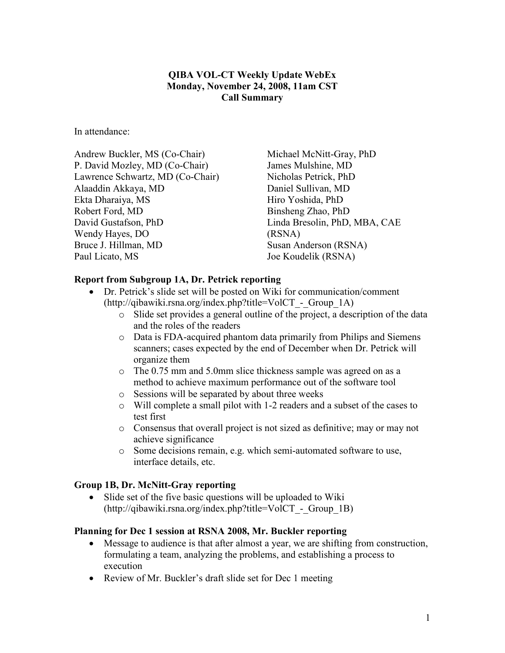### QIBA VOL-CT Weekly Update WebEx Monday, November 24, 2008, 11am CST Call Summary

In attendance:

Andrew Buckler, MS (Co-Chair) P. David Mozley, MD (Co-Chair) Lawrence Schwartz, MD (Co-Chair) Alaaddin Akkaya, MD Ekta Dharaiya, MS Robert Ford, MD David Gustafson, PhD Wendy Hayes, DO Bruce J. Hillman, MD Paul Licato, MS

Michael McNitt-Gray, PhD James Mulshine, MD Nicholas Petrick, PhD Daniel Sullivan, MD Hiro Yoshida, PhD Binsheng Zhao, PhD Linda Bresolin, PhD, MBA, CAE (RSNA) Susan Anderson (RSNA) Joe Koudelik (RSNA)

### Report from Subgroup 1A, Dr. Petrick reporting

- Dr. Petrick's slide set will be posted on Wiki for communication/comment (http://qibawiki.rsna.org/index.php?title=VolCT\_-\_Group\_1A)
	- o Slide set provides a general outline of the project, a description of the data and the roles of the readers
	- o Data is FDA-acquired phantom data primarily from Philips and Siemens scanners; cases expected by the end of December when Dr. Petrick will organize them
	- o The 0.75 mm and 5.0mm slice thickness sample was agreed on as a method to achieve maximum performance out of the software tool
	- o Sessions will be separated by about three weeks
	- o Will complete a small pilot with 1-2 readers and a subset of the cases to test first
	- o Consensus that overall project is not sized as definitive; may or may not achieve significance
	- o Some decisions remain, e.g. which semi-automated software to use, interface details, etc.

#### Group 1B, Dr. McNitt-Gray reporting

• Slide set of the five basic questions will be uploaded to Wiki (http://qibawiki.rsna.org/index.php?title=VolCT\_-\_Group\_1B)

#### Planning for Dec 1 session at RSNA 2008, Mr. Buckler reporting

- Message to audience is that after almost a year, we are shifting from construction, formulating a team, analyzing the problems, and establishing a process to execution
- Review of Mr. Buckler's draft slide set for Dec 1 meeting